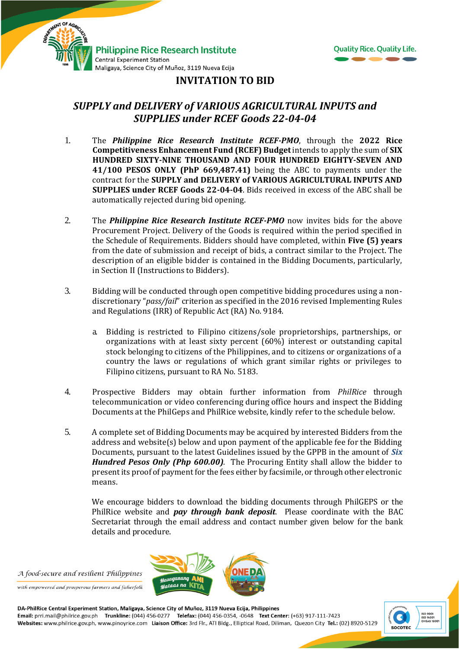



## **INVITATION TO BID**

## *SUPPLY and DELIVERY of VARIOUS AGRICULTURAL INPUTS and SUPPLIES under RCEF Goods 22-04-04*

- 1. The *Philippine Rice Research Institute RCEF-PMO*, through the **2022 Rice Competitiveness Enhancement Fund (RCEF) Budget**intends to apply the sum of **SIX HUNDRED SIXTY-NINE THOUSAND AND FOUR HUNDRED EIGHTY-SEVEN AND 41/100 PESOS ONLY (PhP 669,487.41)** being the ABC to payments under the contract for the **SUPPLY and DELIVERY of VARIOUS AGRICULTURAL INPUTS AND SUPPLIES under RCEF Goods 22-04-04**. Bids received in excess of the ABC shall be automatically rejected during bid opening.
- 2. The *Philippine Rice Research Institute RCEF-PMO* now invites bids for the above Procurement Project. Delivery of the Goods is required within the period specified in the Schedule of Requirements. Bidders should have completed, within **Five (5) years** from the date of submission and receipt of bids, a contract similar to the Project. The description of an eligible bidder is contained in the Bidding Documents, particularly, in Section II (Instructions to Bidders).
- 3. Bidding will be conducted through open competitive bidding procedures using a nondiscretionary "*pass/fail*" criterion as specified in the 2016 revised Implementing Rules and Regulations (IRR) of Republic Act (RA) No. 9184.
	- a. Bidding is restricted to Filipino citizens/sole proprietorships, partnerships, or organizations with at least sixty percent (60%) interest or outstanding capital stock belonging to citizens of the Philippines, and to citizens or organizations of a country the laws or regulations of which grant similar rights or privileges to Filipino citizens, pursuant to RA No. 5183.
- 4. Prospective Bidders may obtain further information from *PhilRice* through telecommunication or video conferencing during office hours and inspect the Bidding Documents at the PhilGeps and PhilRice website, kindly refer to the schedule below.
- 5. A complete set of Bidding Documents may be acquired by interested Bidders from the address and website(s) below and upon payment of the applicable fee for the Bidding Documents, pursuant to the latest Guidelines issued by the GPPB in the amount of *Six Hundred Pesos Only (Php 600.00).* The Procuring Entity shall allow the bidder to present its proof of payment for the fees either by facsimile, or through other electronic means.

We encourage bidders to download the bidding documents through PhilGEPS or the PhilRice website and *pay through bank deposit*. Please coordinate with the BAC Secretariat through the email address and contact number given below for the bank details and procedure.

A food-secure and resilient Philippines

with empowered and prosperous farmers and fisherfolk



DA-PhilRice Central Experiment Station, Maligaya, Science City of Muñoz, 3119 Nueva Ecija, Philippines Email: prri.mail@philrice.gov.ph Trunkline: (044) 456-0277 Telefax: (044) 456-0354, -0648 Text Center: (+63) 917-111-7423 Websites: www.philrice.gov.ph, www.pinoyrice.com Liaison Office: 3rd Flr., ATI Bldg., Elliptical Road, Diliman, Quezon City Tel.: (02) 8920-5129

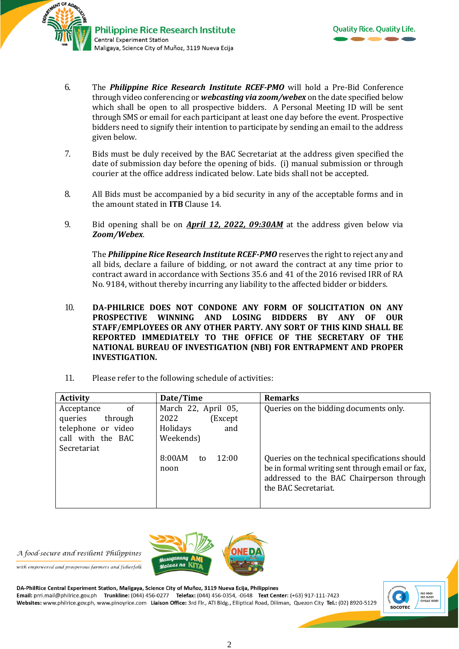

- 6. The *Philippine Rice Research Institute RCEF-PMO* will hold a Pre-Bid Conference through video conferencing or *webcasting via zoom/webex* on the date specified below which shall be open to all prospective bidders. A Personal Meeting ID will be sent through SMS or email for each participant at least one day before the event. Prospective bidders need to signify their intention to participate by sending an email to the address given below.
- 7. Bids must be duly received by the BAC Secretariat at the address given specified the date of submission day before the opening of bids. (i) manual submission or through courier at the office address indicated below*.* Late bids shall not be accepted.
- 8. All Bids must be accompanied by a bid security in any of the acceptable forms and in the amount stated in **ITB** Clause 14.
- 9. Bid opening shall be on *April 12, 2022, 09:30AM* at the address given below via *Zoom/Webex*.

The *Philippine Rice Research Institute RCEF-PMO* reserves the right to reject any and all bids, declare a failure of bidding, or not award the contract at any time prior to contract award in accordance with Sections 35.6 and 41 of the 2016 revised IRR of RA No. 9184, without thereby incurring any liability to the affected bidder or bidders.

- 10. **DA-PHILRICE DOES NOT CONDONE ANY FORM OF SOLICITATION ON ANY PROSPECTIVE WINNING AND LOSING BIDDERS BY ANY OF OUR STAFF/EMPLOYEES OR ANY OTHER PARTY. ANY SORT OF THIS KIND SHALL BE REPORTED IMMEDIATELY TO THE OFFICE OF THE SECRETARY OF THE NATIONAL BUREAU OF INVESTIGATION (NBI) FOR ENTRAPMENT AND PROPER INVESTIGATION.**
- 11. Please refer to the following schedule of activities:

| <b>Activity</b>                                                                              | Date/Time                                                               | <b>Remarks</b>                                                                                                                                                        |
|----------------------------------------------------------------------------------------------|-------------------------------------------------------------------------|-----------------------------------------------------------------------------------------------------------------------------------------------------------------------|
| <sub>of</sub><br>Acceptance<br>queries<br>through<br>telephone or video<br>call with the BAC | March 22, April 05,<br>2022<br>(Except)<br>Holidays<br>and<br>Weekends) | Queries on the bidding documents only.                                                                                                                                |
| Secretariat                                                                                  | 8:00AM<br>12:00<br>to<br>noon                                           | Queries on the technical specifications should<br>be in formal writing sent through email or fax,<br>addressed to the BAC Chairperson through<br>the BAC Secretariat. |







DA-PhilRice Central Experiment Station, Maligaya, Science City of Muñoz, 3119 Nueva Ecija, Philippines Email: prri.mail@philrice.gov.ph Trunkline: (044) 456-0277 Telefax: (044) 456-0354, -0648 Text Center: (+63) 917-111-7423 Websites: www.philrice.gov.ph, www.pinoyrice.com Liaison Office: 3rd Flr., ATI Bldg., Elliptical Road, Diliman, Quezon City Tel.: (02) 8920-5129